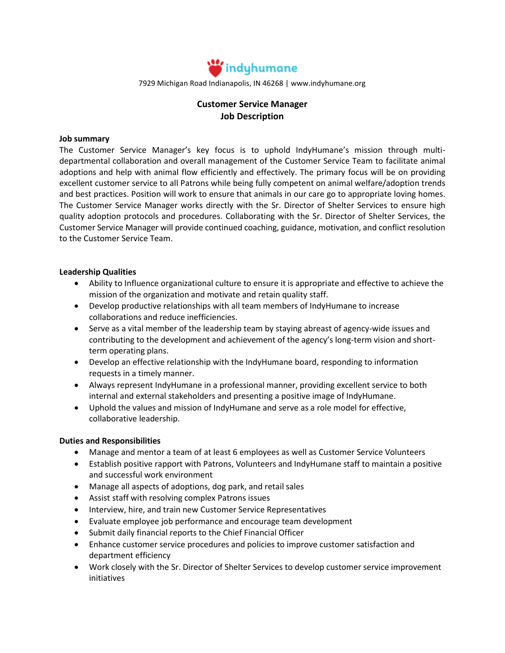

7929 Michigan Road Indianapolis, IN 46268 | www.indyhumane.org

# **Customer Service Manager Job Description**

#### **Job summary**

The Customer Service Manager's key focus is to uphold IndyHumane's mission through multidepartmental collaboration and overall management of the Customer Service Team to facilitate animal adoptions and help with animal flow efficiently and effectively. The primary focus will be on providing excellent customer service to all Patrons while being fully competent on animal welfare/adoption trends and best practices. Position will work to ensure that animals in our care go to appropriate loving homes. The Customer Service Manager works directly with the Sr. Director of Shelter Services to ensure high quality adoption protocols and procedures. Collaborating with the Sr. Director of Shelter Services, the Customer Service Manager will provide continued coaching, guidance, motivation, and conflict resolution to the Customer Service Team.

#### **Leadership Qualities**

- Ability to Influence organizational culture to ensure it is appropriate and effective to achieve the mission of the organization and motivate and retain quality staff.
- Develop productive relationships with all team members of IndyHumane to increase collaborations and reduce inefficiencies.
- Serve as a vital member of the leadership team by staying abreast of agency-wide issues and contributing to the development and achievement of the agency's long-term vision and shortterm operating plans.
- Develop an effective relationship with the IndyHumane board, responding to information requests in a timely manner.
- Always represent IndyHumane in a professional manner, providing excellent service to both internal and external stakeholders and presenting a positive image of IndyHumane.
- Uphold the values and mission of IndyHumane and serve as a role model for effective, collaborative leadership.

### **Duties and Responsibilities**

- Manage and mentor a team of at least 6 employees as well as Customer Service Volunteers
- Establish positive rapport with Patrons, Volunteers and IndyHumane staff to maintain a positive and successful work environment
- Manage all aspects of adoptions, dog park, and retail sales
- Assist staff with resolving complex Patrons issues
- Interview, hire, and train new Customer Service Representatives
- Evaluate employee job performance and encourage team development
- Submit daily financial reports to the Chief Financial Officer
- Enhance customer service procedures and policies to improve customer satisfaction and department efficiency
- Work closely with the Sr. Director of Shelter Services to develop customer service improvement initiatives